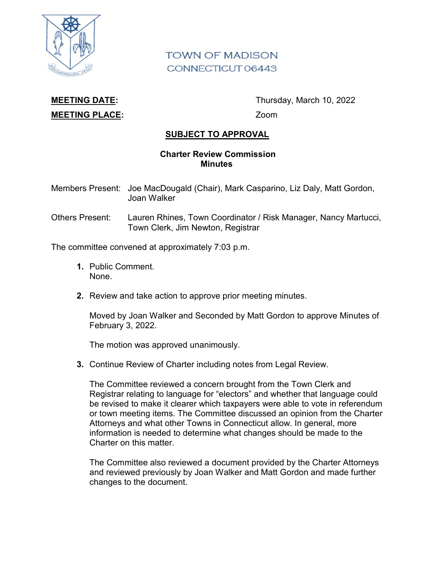

## **TOWN OF MADISON** CONNECTICUT 06443

## **MEETING PLACE:** Zoom

**MEETING DATE:** Thursday, March 10, 2022

## **SUBJECT TO APPROVAL**

## **Charter Review Commission Minutes**

- Members Present: Joe MacDougald (Chair), Mark Casparino, Liz Daly, Matt Gordon, Joan Walker
- Others Present: Lauren Rhines, Town Coordinator / Risk Manager, Nancy Martucci, Town Clerk, Jim Newton, Registrar

The committee convened at approximately 7:03 p.m.

- **1.** Public Comment. None.
- **2.** Review and take action to approve prior meeting minutes.

Moved by Joan Walker and Seconded by Matt Gordon to approve Minutes of February 3, 2022.

The motion was approved unanimously.

**3.** Continue Review of Charter including notes from Legal Review.

The Committee reviewed a concern brought from the Town Clerk and Registrar relating to language for "electors" and whether that language could be revised to make it clearer which taxpayers were able to vote in referendum or town meeting items. The Committee discussed an opinion from the Charter Attorneys and what other Towns in Connecticut allow. In general, more information is needed to determine what changes should be made to the Charter on this matter.

The Committee also reviewed a document provided by the Charter Attorneys and reviewed previously by Joan Walker and Matt Gordon and made further changes to the document.